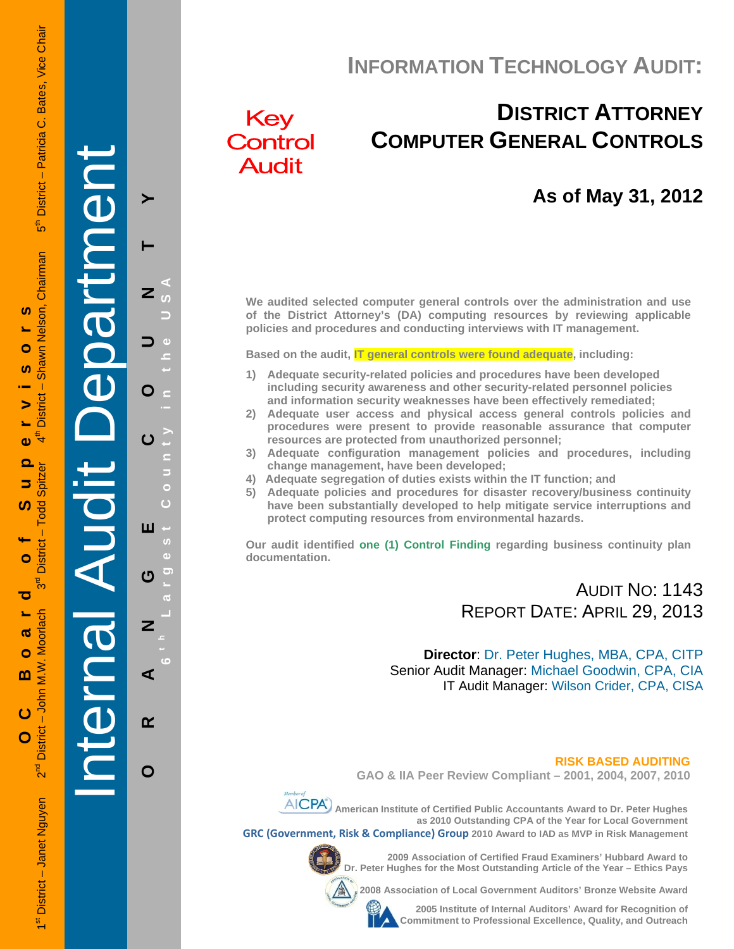# **INFORMATION TECHNOLOGY AUDIT:**

# Key Control **Audit**

# **DISTRICT ATTORNEY COMPUTER GENERAL CONTROLS**

## **As of May 31, 2012**

**We audited selected computer general controls over the administration and use of the District Attorney's (DA) computing resources by reviewing applicable policies and procedures and conducting interviews with IT management.** 

**Based on the audit, IT general controls were found adequate, including:** 

- **1) Adequate security-related policies and procedures have been developed including security awareness and other security-related personnel policies and information security weaknesses have been effectively remediated;**
- **2) Adequate user access and physical access general controls policies and procedures were present to provide reasonable assurance that computer resources are protected from unauthorized personnel;**
- **3) Adequate configuration management policies and procedures, including change management, have been developed;**
- **4) Adequate segregation of duties exists within the IT function; and**
- **5) Adequate policies and procedures for disaster recovery/business continuity have been substantially developed to help mitigate service interruptions and protect computing resources from environmental hazards.**

**Our audit identified one (1) Control Finding regarding business continuity plan documentation.** 

## AUDIT NO: 1143 REPORT DATE: APRIL 29, 2013

**Director**: Dr. Peter Hughes, MBA, CPA, CITP Senior Audit Manager: Michael Goodwin, CPA, CIA IT Audit Manager: Wilson Crider, CPA, CISA

 **RISK BASED AUDITING GAO & IIA Peer Review Compliant – 2001, 2004, 2007, 2010** 



**AICPA**) American Institute of Certified Public Accountants Award to Dr. Peter Hughes

**as 2010 Outstanding CPA of the Year for Local Government GRC (Government, Risk & Compliance) Group 2010 Award to IAD as MVP in Risk Management** 



**2009 Association of Certified Fraud Examiners' Hubbard Award to Dr. Peter Hughes for the Most Outstanding Article of the Year – Ethics Pays** 

**2008 Association of Local Government Auditors' Bronze Website Award** 

**2005 Institute of Internal Auditors' Award for Recognition of Commitment to Professional Excellence, Quality, and Outreach**

1st District – Janet Nguyen 2<sup>nd</sup> District – John M.W. Moorlach 3<sup>rd</sup> District – Todd Spitzer 4th District – Shawn Nelson, Chairman 5th District – Patricia C. Bates, Vice Chair District - Patricia C. Bates, Vice Chair  $\frac{1}{5}$ Shawn Nelson, Chairman **OC Board of Supervisors**   $\boldsymbol{\omega}$ Ó <u>ທ</u>  $\mathbf{I}$ **District** ₹  $\bullet$  $\overline{\mathbf{o}}$ **Todd Spitzer** 5 <u>ທ</u>  $\mathbf{I}$ **District**  $\bullet$ ರ Moorlach ൹ Ó M.W. m  $-$  John  $\overline{c}$ District - $\mathbf O$ 

 $2<sup>nd</sup>$ District - Janet Nguyen Internal Audit Department

**ORANGE COUNTY 6 t h Lar**

ш

ෆ

 $\overline{z}$ 

⋖

 $\alpha$ 

O

O

**g**

**est Count**

**y in the USA** 

≻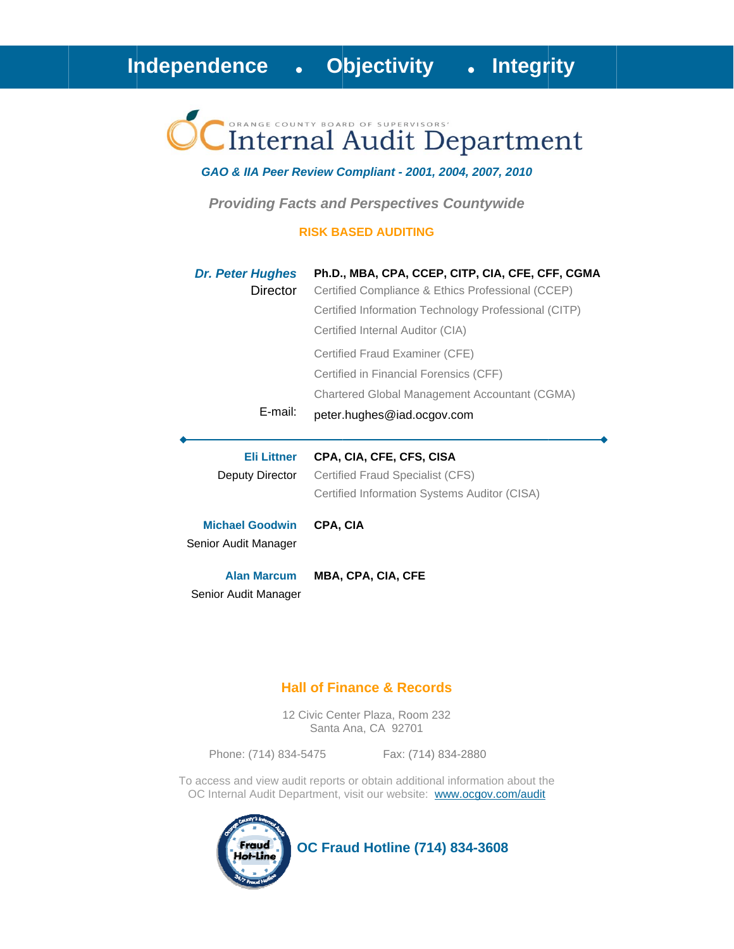# Internal Audit Department

#### GAO & IIA Peer Review Compliant - 2001, 2004, 2007, 2010

**Providing Facts and Perspectives Countywide** 

#### **RISK BASED AUDITING**

| <b>Dr. Peter Hughes</b><br>Director            | Ph.D., MBA, CPA, CCEP, CITP, CIA, CFE, CFF, CGMA<br>Certified Compliance & Ethics Professional (CCEP) |
|------------------------------------------------|-------------------------------------------------------------------------------------------------------|
|                                                | Certified Information Technology Professional (CITP)                                                  |
|                                                | Certified Internal Auditor (CIA)                                                                      |
|                                                | Certified Fraud Examiner (CFE)                                                                        |
|                                                | Certified in Financial Forensics (CFF)                                                                |
|                                                | Chartered Global Management Accountant (CGMA)                                                         |
| E-mail:                                        | peter.hughes@iad.ocgov.com                                                                            |
|                                                |                                                                                                       |
|                                                |                                                                                                       |
| <b>Eli Littner</b>                             | CPA, CIA, CFE, CFS, CISA                                                                              |
| Deputy Director                                | Certified Fraud Specialist (CFS)                                                                      |
|                                                | Certified Information Systems Auditor (CISA)                                                          |
| <b>Michael Goodwin</b><br>Senior Audit Manager | CPA, CIA                                                                                              |

### **Hall of Finance & Records**

12 Civic Center Plaza, Room 232 Santa Ana, CA 92701

Phone: (714) 834-5475

Fax: (714) 834-2880

To access and view audit reports or obtain additional information about the OC Internal Audit Department, visit our website: www.ocgov.com/audit



**OC Fraud Hotline (714) 834-3608**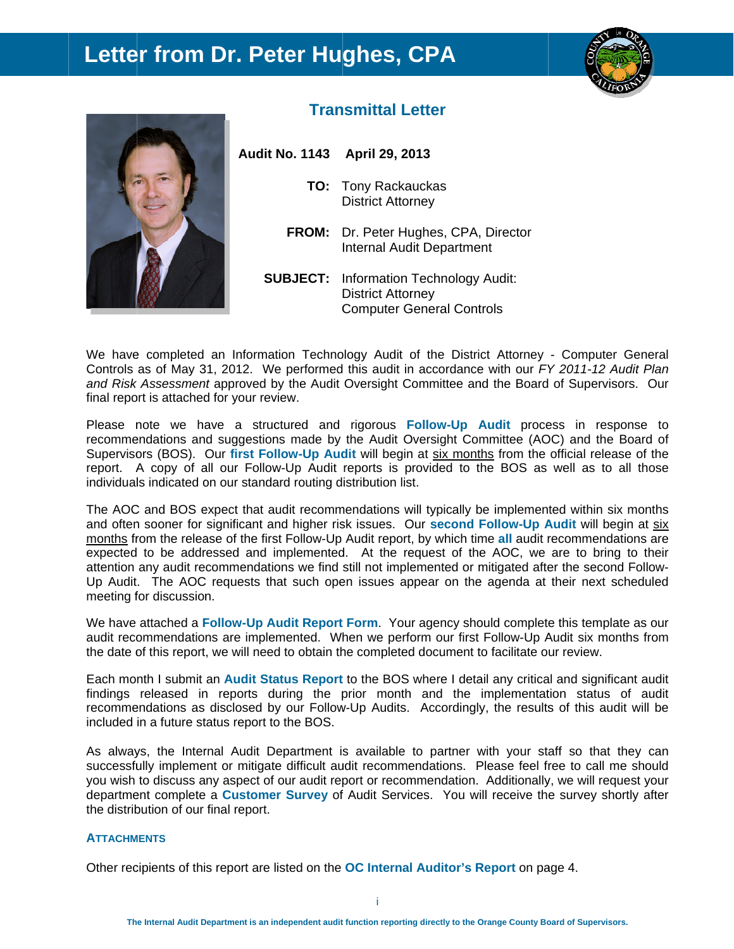## **Letter from Dr. Peter Hughes, CPA**





## **Transmittal Letter**

**Audit No. 1143 April 29, 20 013** 

- **TO:** Tony Rackauckas District Attorney
- FROM: Dr. Peter Hughes, CPA, Director Internal Audit Department
- **SUBJECT:** Information Technology Audit: Computer General Controls District Attorney

We have completed an Information Technology Audit of the District Attorney - Computer General Controls as of May 31, 2012. We performed this audit in accordance with our *FY* 2011-12 Audit Plan and Risk Assessment approved by the Audit Oversight Committee and the Board of Supervisors. Our final report is attached for your review.

Please note we have a structured and rigorous Follow-Up Audit process in response to recommendations and suggestions made by the Audit Oversight Committee (AOC) and the Board of Supervisors (BOS). Our first Follow-Up Audit will begin at six months from the official release of the report. A copy of all our Follow-Up Audit reports is provided to the BOS as well as to all those individuals indicated on our standard routing distribution list.

The AOC and BOS expect that audit recommendations will typically be implemented within six months and often sooner for significant and higher risk issues. Our second Follow-Up Audit will begin at six months from the release of the first Follow-Up Audit report, by which time all audit recommendations are expected to be addressed and implemented. At the request of the AOC, we are to bring to their attention any audit recommendations we find still not implemented or mitigated after the second Follow-Up Audit. The AOC requests that such open issues appear on the agenda at their next scheduled meeting for discussion.

We have attached a Follow-Up Audit Report Form. Your agency should complete this template as our audit recommendations are implemented. When we perform our first Follow-Up Audit six months from the date of this report, we will need to obtain the completed document to facilitate our review.

Each month I submit an **Audit Status Report** to the BOS where I detail any critical and significant audit findings released in reports during the prior month and the implementation status of audit recommendations as disclosed by our Follow-Up Audits. Accordingly, the results of this audit will be included in a future status report to the BOS.

As always, the Internal Audit Department is available to partner with your staff so that they can successfully implement or mitigate difficult audit recommendations. Please feel free to call me should you wish to discuss any aspect of our audit report or recommendation. Additionally, we will request your department complete a **Customer Survey** of Audit Services. You will receive the survey shortly after the distrib bution of our final report.

#### **ATTACHM MENTS**

Other recipients of this report are listed on the OC Internal Auditor's Report on page 4.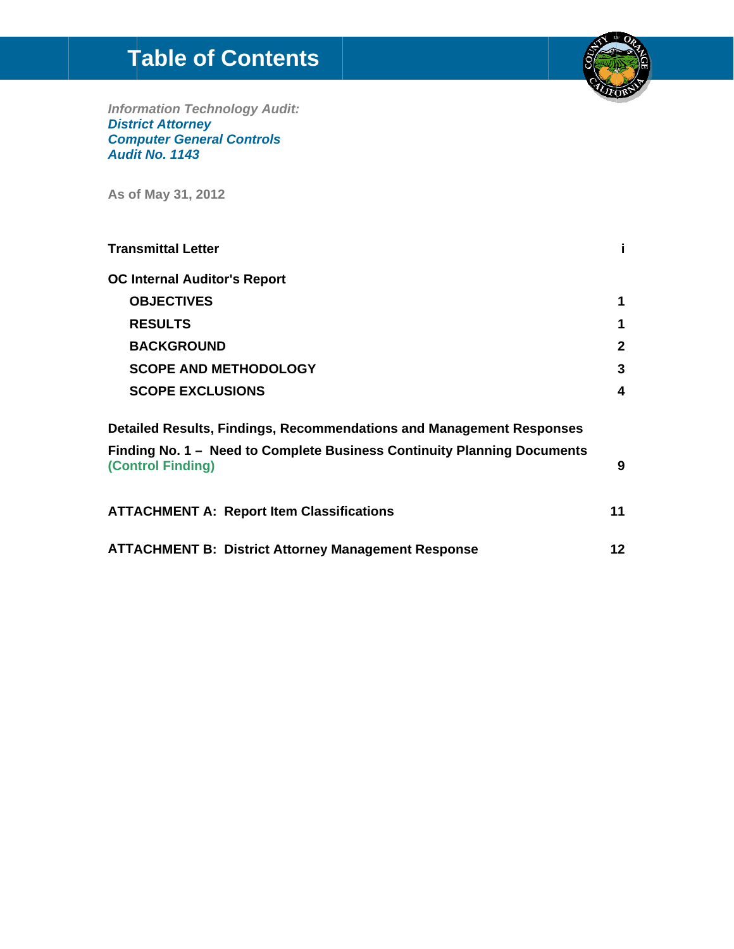# **Table of Contents**



**Information Technology Audit:<br>District Attorney<br>Computer General Controls** Audit No. 1143

As of May 31, 2012

| <b>Transmittal Letter</b>                                                                    |              |
|----------------------------------------------------------------------------------------------|--------------|
| <b>OC Internal Auditor's Report</b>                                                          |              |
| <b>OBJECTIVES</b>                                                                            | 1            |
| <b>RESULTS</b>                                                                               | 1            |
| <b>BACKGROUND</b>                                                                            | $\mathbf{2}$ |
| <b>SCOPE AND METHODOLOGY</b>                                                                 | 3            |
| <b>SCOPE EXCLUSIONS</b>                                                                      | 4            |
| Detailed Results, Findings, Recommendations and Management Responses                         |              |
| Finding No. 1 - Need to Complete Business Continuity Planning Documents<br>(Control Finding) | 9            |
| <b>ATTACHMENT A: Report Item Classifications</b>                                             | 11           |
| <b>ATTACHMENT B: District Attorney Management Response</b>                                   | 12           |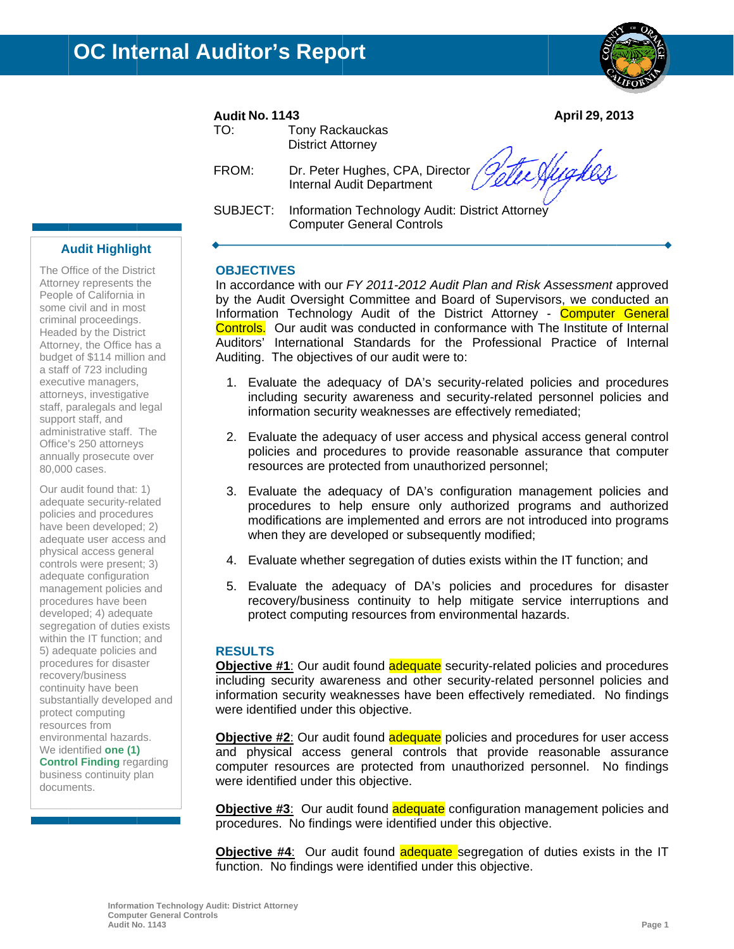

April 29, 2013

#### **Audit No. 1143**

| TO: | Tony Rackauckas          |
|-----|--------------------------|
|     | <b>District Attorney</b> |

FROM: Dr. Peter Hughes, CPA, Director **Internal Audit Department** 

the Hydes

SUBJECT: Information Technology Audit: District Attorney **Computer General Controls** 

#### **Audit Highlight**

The Office of the District Attorney represents the People of California in some civil and in most criminal proceedings. Headed by the District Attorney, the Office has a budget of \$114 million and a staff of 723 including executive managers, attorneys, investigative staff, paralegals and legal support staff, and administrative staff. The Office's 250 attorneys annually prosecute over 80,000 cases.

Our audit found that: 1) adequate security-related policies and procedures have been developed; 2) adequate user access and physical access general controls were present; 3) adequate configuration management policies and procedures have been developed; 4) adequate segregation of duties exists within the IT function; and 5) adequate policies and procedures for disaster recovery/business continuity have been substantially developed and protect computing resources from environmental hazards. We identified one (1) **Control Finding regarding** business continuity plan documents.

#### **OBJECTIVES**

In accordance with our FY 2011-2012 Audit Plan and Risk Assessment approved by the Audit Oversight Committee and Board of Supervisors, we conducted an Information Technology Audit of the District Attorney - Computer General **Controls.** Our audit was conducted in conformance with The Institute of Internal Auditors' International Standards for the Professional Practice of Internal Auditing. The objectives of our audit were to:

- 1. Evaluate the adequacy of DA's security-related policies and procedures including security awareness and security-related personnel policies and information security weaknesses are effectively remediated;
- 2. Evaluate the adequacy of user access and physical access general control policies and procedures to provide reasonable assurance that computer resources are protected from unauthorized personnel;
- 3. Evaluate the adequacy of DA's configuration management policies and procedures to help ensure only authorized programs and authorized modifications are implemented and errors are not introduced into programs when they are developed or subsequently modified;
- 4. Evaluate whether segregation of duties exists within the IT function; and
- 5. Evaluate the adequacy of DA's policies and procedures for disaster recovery/business continuity to help mitigate service interruptions and protect computing resources from environmental hazards.

#### **RESULTS**

Objective #1: Our audit found adequate security-related policies and procedures including security awareness and other security-related personnel policies and information security weaknesses have been effectively remediated. No findings were identified under this objective.

**Objective #2:** Our audit found adequate policies and procedures for user access and physical access general controls that provide reasonable assurance computer resources are protected from unauthorized personnel. No findings were identified under this objective.

Objective #3: Our audit found adequate configuration management policies and procedures. No findings were identified under this objective.

**Objective #4:** Our audit found **adequate** segregation of duties exists in the IT function. No findings were identified under this objective.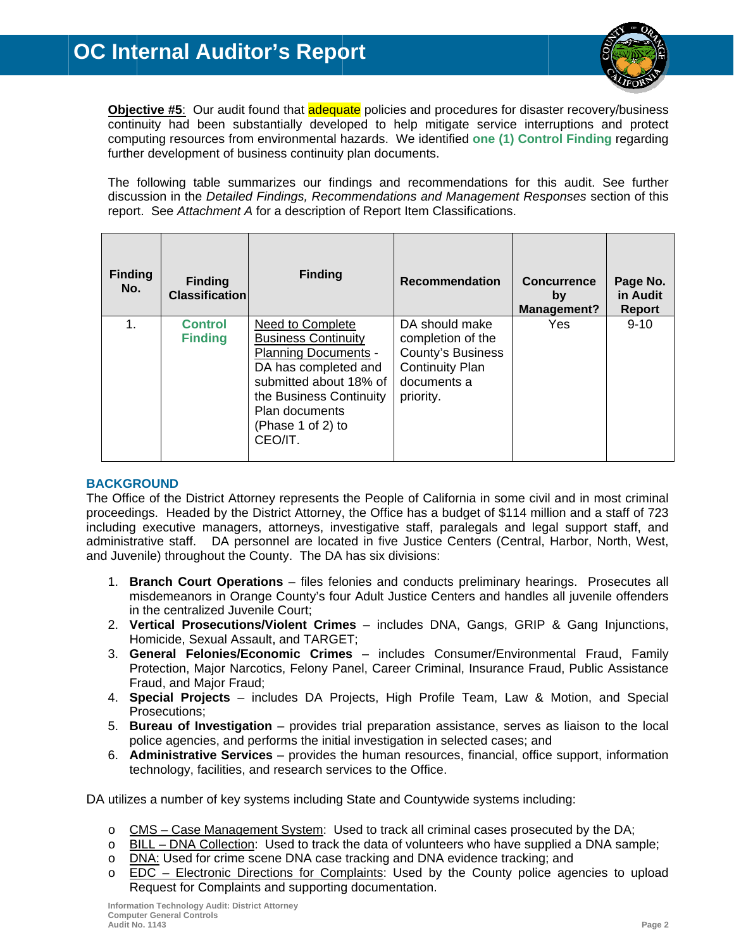

Objective #5: Our audit found that adequate policies and procedures for disaster recovery/business continuity had been substantially developed to help mitigate service interruptions and protect computing resources from environmental hazards. We identified one (1) Control Finding regarding further development of business continuity plan documents.

The following table summarizes our findings and recommendations for this audit. See further discussion in the Detailed Findings, Recommendations and Management Responses section of this report. See Attachment A for a description of Report Item Classifications.

| <b>Finding</b><br>No. | <b>Finding</b><br><b>Classification</b> | <b>Finding</b>                                                                                                                                                                                               | <b>Recommendation</b>                                                                                          | <b>Concurrence</b><br>by<br><b>Management?</b> | Page No.<br>in Audit<br><b>Report</b> |
|-----------------------|-----------------------------------------|--------------------------------------------------------------------------------------------------------------------------------------------------------------------------------------------------------------|----------------------------------------------------------------------------------------------------------------|------------------------------------------------|---------------------------------------|
| 1.                    | <b>Control</b><br><b>Finding</b>        | Need to Complete<br><b>Business Continuity</b><br><b>Planning Documents -</b><br>DA has completed and<br>submitted about 18% of<br>the Business Continuity<br>Plan documents<br>(Phase 1 of 2) to<br>CEO/IT. | DA should make<br>completion of the<br>County's Business<br><b>Continuity Plan</b><br>documents a<br>priority. | Yes                                            | $9 - 10$                              |

#### **BACKGROUND**

The Office of the District Attorney represents the People of California in some civil and in most criminal proceedings. Headed by the District Attorney, the Office has a budget of \$114 million and a staff of 723 including executive managers, attorneys, investigative staff, paralegals and legal support staff, and administrative staff. DA personnel are located in five Justice Centers (Central, Harbor, North, West, and Juvenile) throughout the County. The DA has six divisions:

- 1. Branch Court Operations files felonies and conducts preliminary hearings. Prosecutes all misdemeanors in Orange County's four Adult Justice Centers and handles all juvenile offenders in the centralized Juvenile Court:
- 2. Vertical Prosecutions/Violent Crimes includes DNA, Gangs, GRIP & Gang Injunctions, Homicide, Sexual Assault, and TARGET;
- 3. General Felonies/Economic Crimes includes Consumer/Environmental Fraud, Family Protection, Major Narcotics, Felony Panel, Career Criminal, Insurance Fraud, Public Assistance Fraud, and Major Fraud;
- 4. Special Projects includes DA Projects, High Profile Team, Law & Motion, and Special Prosecutions;
- 5. Bureau of Investigation provides trial preparation assistance, serves as liaison to the local police agencies, and performs the initial investigation in selected cases; and
- 6. Administrative Services provides the human resources, financial, office support, information technology, facilities, and research services to the Office.

DA utilizes a number of key systems including State and Countywide systems including:

- o CMS Case Management System: Used to track all criminal cases prosecuted by the DA;
- BILL DNA Collection: Used to track the data of volunteers who have supplied a DNA sample;  $\circ$
- DNA: Used for crime scene DNA case tracking and DNA evidence tracking; and  $\circ$
- EDC Electronic Directions for Complaints: Used by the County police agencies to upload  $\Omega$ Request for Complaints and supporting documentation.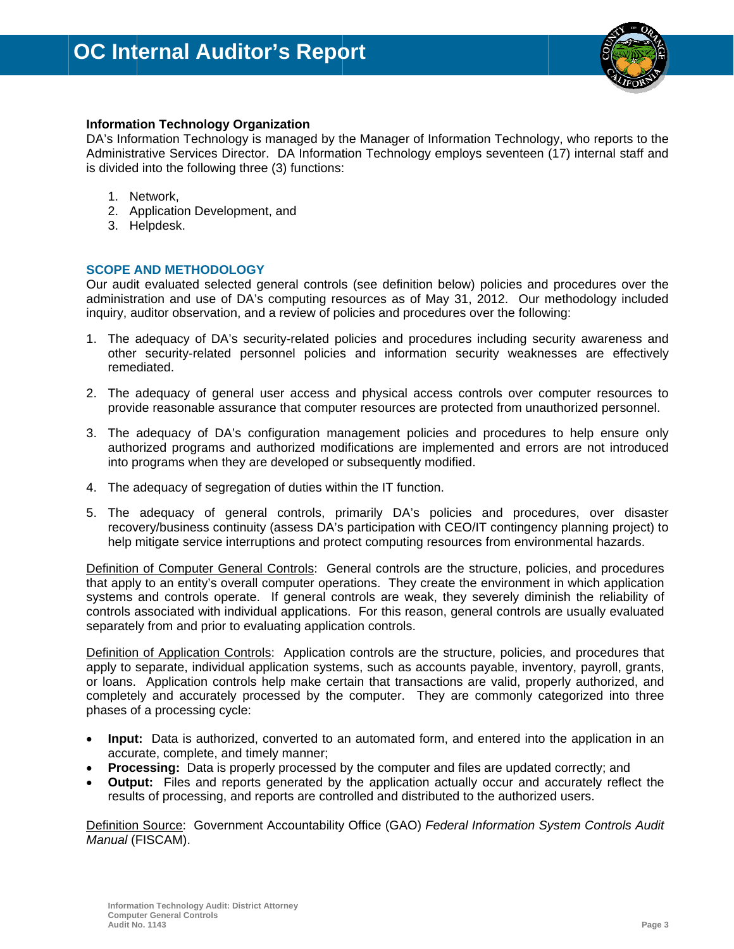

#### **Information Technology Organization**

DA's Information Technology is managed by the Manager of Information Technology, who reports to the Administrative Services Director. DA Information Technology employs seventeen (17) internal staff and is divided into the following three (3) functions:

- 1. Network,
- 2. Application Development, and
- 3. Helpdesk.

#### **SCOPE AND METHODOLOGY**

Our audit evaluated selected general controls (see definition below) policies and procedures over the administration and use of DA's computing resources as of May 31, 2012. Our methodology included inguiry, auditor observation, and a review of policies and procedures over the following:

- 1. The adequacy of DA's security-related policies and procedures including security awareness and other security-related personnel policies and information security weaknesses are effectively remediated.
- 2. The adequacy of general user access and physical access controls over computer resources to provide reasonable assurance that computer resources are protected from unauthorized personnel.
- 3. The adequacy of DA's configuration management policies and procedures to help ensure only authorized programs and authorized modifications are implemented and errors are not introduced into programs when they are developed or subsequently modified.
- 4. The adequacy of segregation of duties within the IT function.
- 5. The adequacy of general controls, primarily DA's policies and procedures, over disaster recovery/business continuity (assess DA's participation with CEO/IT contingency planning project) to help mitigate service interruptions and protect computing resources from environmental hazards.

Definition of Computer General Controls: General controls are the structure, policies, and procedures that apply to an entity's overall computer operations. They create the environment in which application systems and controls operate. If general controls are weak, they severely diminish the reliability of controls associated with individual applications. For this reason, general controls are usually evaluated separately from and prior to evaluating application controls.

Definition of Application Controls: Application controls are the structure, policies, and procedures that apply to separate, individual application systems, such as accounts payable, inventory, payroll, grants, or loans. Application controls help make certain that transactions are valid, properly authorized, and completely and accurately processed by the computer. They are commonly categorized into three phases of a processing cycle:

- Input: Data is authorized, converted to an automated form, and entered into the application in an accurate, complete, and timely manner:
- **Processing:** Data is properly processed by the computer and files are updated correctly; and
- **Output:** Files and reports generated by the application actually occur and accurately reflect the results of processing, and reports are controlled and distributed to the authorized users.

Definition Source: Government Accountability Office (GAO) Federal Information System Controls Audit Manual (FISCAM).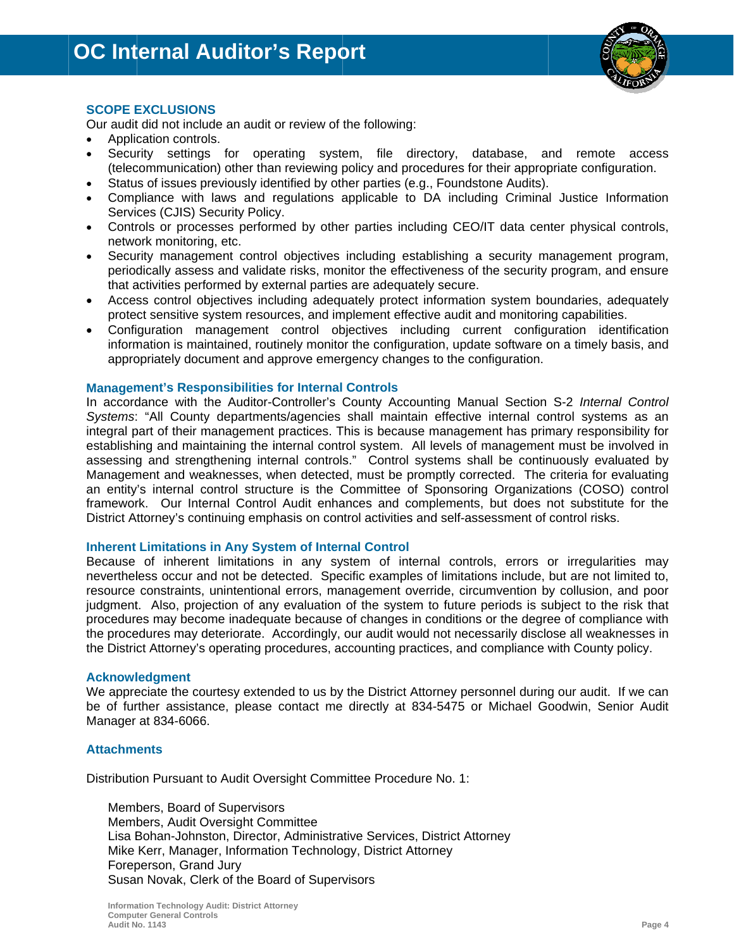

#### **SCOPE EXCLUSIONS**

Our audit did not include an audit or review of the following:

- Application controls.
- Security settings for operating system, file directory, database, and remote access (telecommunication) other than reviewing policy and procedures for their appropriate configuration.
- Status of issues previously identified by other parties (e.g., Foundstone Audits).
- Compliance with laws and regulations applicable to DA including Criminal Justice Information Services (CJIS) Security Policy.
- Controls or processes performed by other parties including CEO/IT data center physical controls, network monitoring, etc.
- Security management control objectives including establishing a security management program, periodically assess and validate risks, monitor the effectiveness of the security program, and ensure that activities performed by external parties are adequately secure.
- Access control objectives including adequately protect information system boundaries, adequately protect sensitive system resources, and implement effective audit and monitoring capabilities.
- Configuration management control objectives including current configuration identification information is maintained, routinely monitor the configuration, update software on a timely basis, and appropriately document and approve emergency changes to the configuration.

#### **Management's Responsibilities for Internal Controls**

In accordance with the Auditor-Controller's County Accounting Manual Section S-2 Internal Control Systems: "All County departments/agencies shall maintain effective internal control systems as an integral part of their management practices. This is because management has primary responsibility for establishing and maintaining the internal control system. All levels of management must be involved in assessing and strengthening internal controls." Control systems shall be continuously evaluated by Management and weaknesses, when detected, must be promptly corrected. The criteria for evaluating an entity's internal control structure is the Committee of Sponsoring Organizations (COSO) control framework. Our Internal Control Audit enhances and complements, but does not substitute for the District Attorney's continuing emphasis on control activities and self-assessment of control risks.

#### **Inherent Limitations in Any System of Internal Control**

Because of inherent limitations in any system of internal controls, errors or irregularities may nevertheless occur and not be detected. Specific examples of limitations include, but are not limited to, resource constraints, unintentional errors, management override, circumvention by collusion, and poor judgment. Also, projection of any evaluation of the system to future periods is subject to the risk that procedures may become inadequate because of changes in conditions or the degree of compliance with the procedures may deteriorate. Accordingly, our audit would not necessarily disclose all weaknesses in the District Attorney's operating procedures, accounting practices, and compliance with County policy.

#### **Acknowledgment**

We appreciate the courtesy extended to us by the District Attorney personnel during our audit. If we can be of further assistance, please contact me directly at 834-5475 or Michael Goodwin, Senior Audit Manager at 834-6066.

#### **Attachments**

Distribution Pursuant to Audit Oversight Committee Procedure No. 1:

Members, Board of Supervisors Members, Audit Oversight Committee Lisa Bohan-Johnston, Director, Administrative Services, District Attorney Mike Kerr, Manager, Information Technology, District Attorney Foreperson, Grand Jury Susan Novak, Clerk of the Board of Supervisors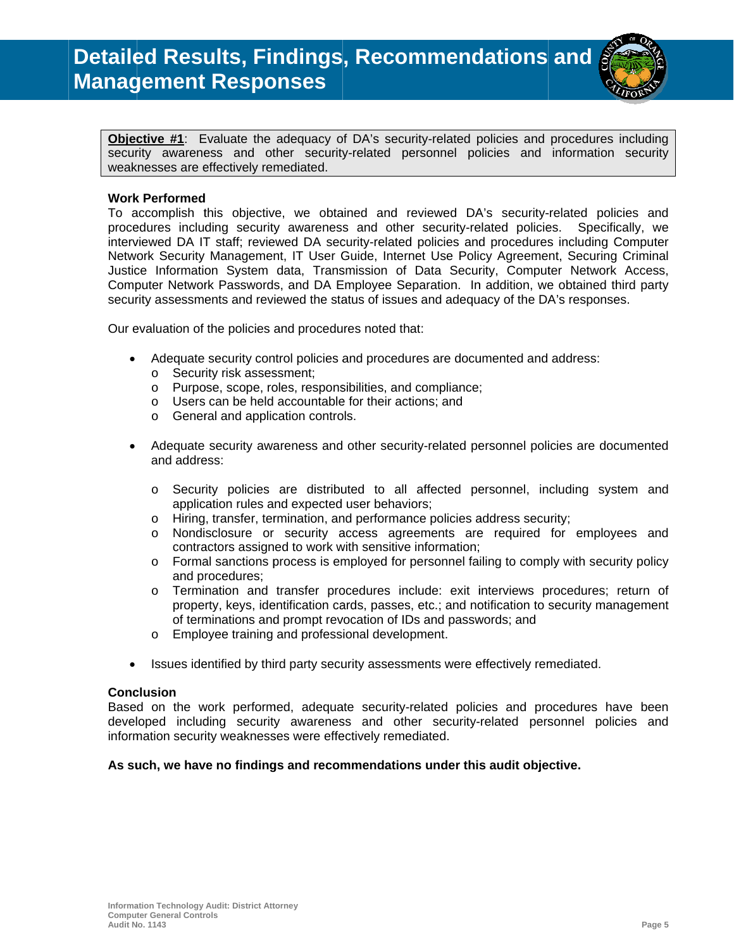

Objective #1: Evaluate the adequacy of DA's security-related policies and procedures including security awareness and other security-related personnel policies and information security weaknesses are effectively remediated.

#### **Work Performed**

To accomplish this objective, we obtained and reviewed DA's security-related policies and procedures including security awareness and other security-related policies. Specifically, we interviewed DA IT staff; reviewed DA security-related policies and procedures including Computer Network Security Management, IT User Guide, Internet Use Policy Agreement, Securing Criminal Justice Information System data, Transmission of Data Security, Computer Network Access, Computer Network Passwords, and DA Employee Separation. In addition, we obtained third party security assessments and reviewed the status of issues and adequacy of the DA's responses.

Our evaluation of the policies and procedures noted that:

- Adequate security control policies and procedures are documented and address:  $\bullet$ 
	- o Security risk assessment:
	- o Purpose, scope, roles, responsibilities, and compliance;
	- o Users can be held accountable for their actions; and
	- o General and application controls.
- Adequate security awareness and other security-related personnel policies are documented  $\bullet$ and address:
	- Security policies are distributed to all affected personnel, including system and  $\circ$ application rules and expected user behaviors;
	- Hiring, transfer, termination, and performance policies address security;  $\circ$
	- o Nondisclosure or security access agreements are required for employees and contractors assigned to work with sensitive information;
	- o Formal sanctions process is employed for personnel failing to comply with security policy and procedures:
	- o Termination and transfer procedures include: exit interviews procedures; return of property, keys, identification cards, passes, etc.; and notification to security management of terminations and prompt revocation of IDs and passwords; and
	- Employee training and professional development.  $\circ$
- $\bullet$ Issues identified by third party security assessments were effectively remediated.

#### **Conclusion**

Based on the work performed, adequate security-related policies and procedures have been developed including security awareness and other security-related personnel policies and information security weaknesses were effectively remediated.

#### As such, we have no findings and recommendations under this audit objective.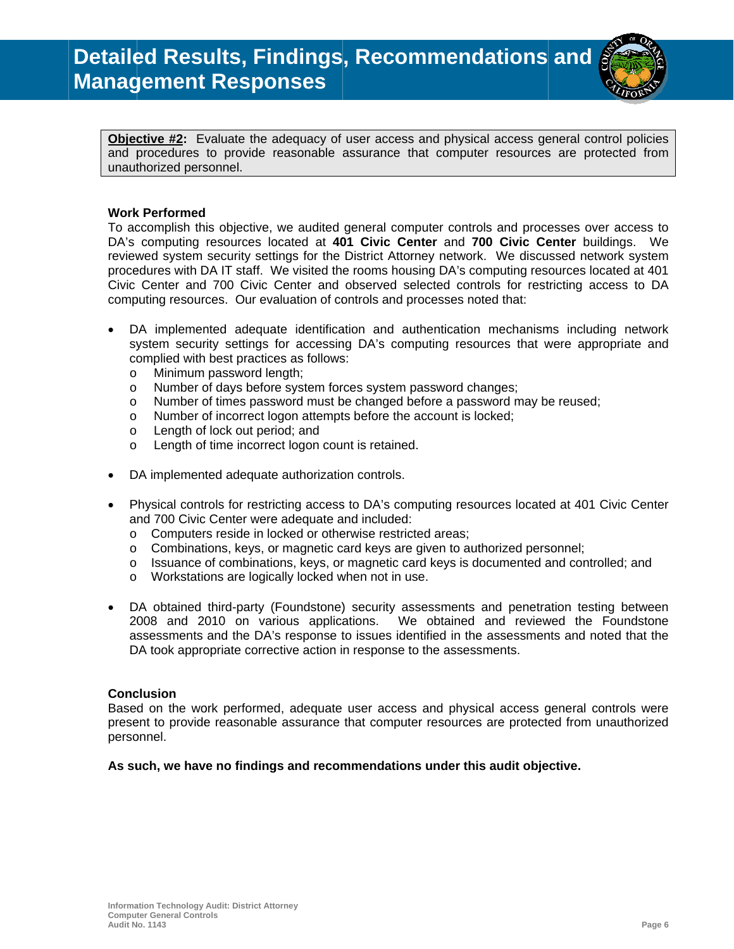

Objective #2: Evaluate the adequacy of user access and physical access general control policies and procedures to provide reasonable assurance that computer resources are protected from unauthorized personnel.

#### **Work Performed**

To accomplish this objective, we audited general computer controls and processes over access to DA's computing resources located at 401 Civic Center and 700 Civic Center buildings. We reviewed system security settings for the District Attorney network. We discussed network system procedures with DA IT staff. We visited the rooms housing DA's computing resources located at 401 Civic Center and 700 Civic Center and observed selected controls for restricting access to DA computing resources. Our evaluation of controls and processes noted that:

- DA implemented adequate identification and authentication mechanisms including network system security settings for accessing DA's computing resources that were appropriate and complied with best practices as follows:
	- Minimum password length:  $\circ$
	- Number of days before system forces system password changes;  $\circ$
	- Number of times password must be changed before a password may be reused;  $\circ$
	- Number of incorrect logon attempts before the account is locked;  $\circ$
	- Length of lock out period; and  $\circ$
	- Length of time incorrect logon count is retained.  $\Omega$
- DA implemented adequate authorization controls.
- Physical controls for restricting access to DA's computing resources located at 401 Civic Center and 700 Civic Center were adequate and included:
	- o Computers reside in locked or otherwise restricted areas;
	- o Combinations, keys, or magnetic card keys are given to authorized personnel;
	- $\circ$  Issuance of combinations, keys, or magnetic card keys is documented and controlled; and
	- o Workstations are logically locked when not in use.
- DA obtained third-party (Foundstone) security assessments and penetration testing between We obtained and reviewed the Foundstone 2008 and 2010 on various applications. assessments and the DA's response to issues identified in the assessments and noted that the DA took appropriate corrective action in response to the assessments.

#### **Conclusion**

Based on the work performed, adequate user access and physical access general controls were present to provide reasonable assurance that computer resources are protected from unauthorized personnel.

#### As such, we have no findings and recommendations under this audit objective.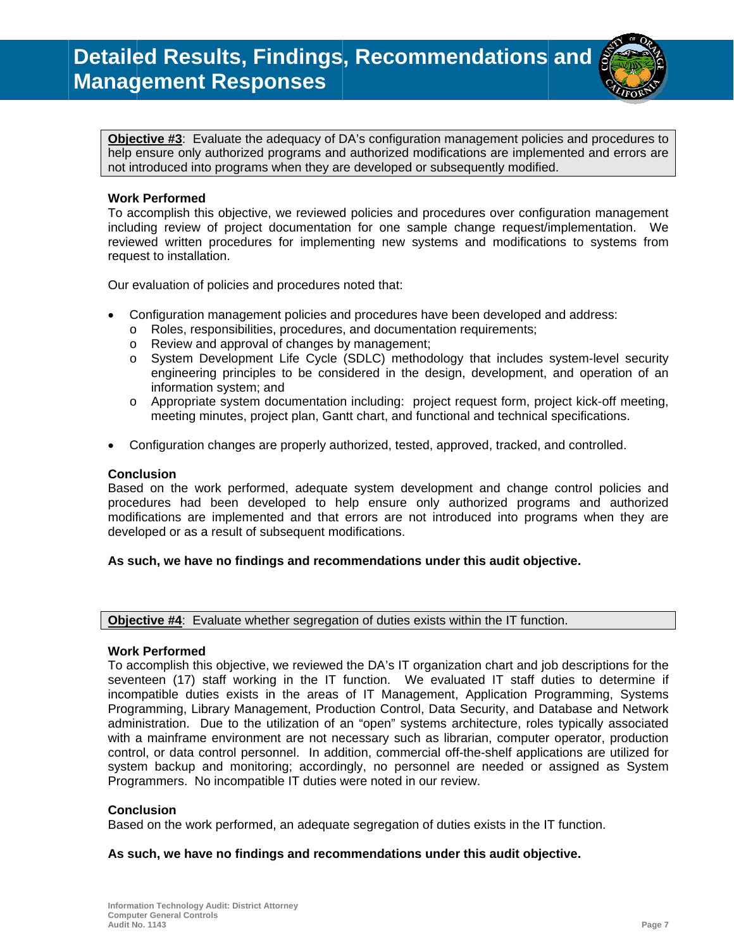

Objective #3: Evaluate the adequacy of DA's configuration management policies and procedures to help ensure only authorized programs and authorized modifications are implemented and errors are not introduced into programs when they are developed or subsequently modified.

#### **Work Performed**

To accomplish this objective, we reviewed policies and procedures over configuration management including review of project documentation for one sample change request/implementation. We reviewed written procedures for implementing new systems and modifications to systems from request to installation.

Our evaluation of policies and procedures noted that:

- Configuration management policies and procedures have been developed and address:
	- o Roles, responsibilities, procedures, and documentation requirements;
	- o Review and approval of changes by management;
	- o System Development Life Cycle (SDLC) methodology that includes system-level security engineering principles to be considered in the design, development, and operation of an information system; and
	- Appropriate system documentation including: project request form, project kick-off meeting,  $\circ$ meeting minutes, project plan, Gantt chart, and functional and technical specifications.
- Configuration changes are properly authorized, tested, approved, tracked, and controlled.

#### **Conclusion**

Based on the work performed, adequate system development and change control policies and procedures had been developed to help ensure only authorized programs and authorized modifications are implemented and that errors are not introduced into programs when they are developed or as a result of subsequent modifications.

#### As such, we have no findings and recommendations under this audit objective.

**Objective #4:** Evaluate whether segregation of duties exists within the IT function.

#### **Work Performed**

To accomplish this objective, we reviewed the DA's IT organization chart and job descriptions for the seventeen (17) staff working in the IT function. We evaluated IT staff duties to determine if incompatible duties exists in the areas of IT Management, Application Programming, Systems Programming, Library Management, Production Control, Data Security, and Database and Network administration. Due to the utilization of an "open" systems architecture, roles typically associated with a mainframe environment are not necessary such as librarian, computer operator, production control, or data control personnel. In addition, commercial off-the-shelf applications are utilized for system backup and monitoring; accordingly, no personnel are needed or assigned as System Programmers. No incompatible IT duties were noted in our review.

#### **Conclusion**

Based on the work performed, an adequate segregation of duties exists in the IT function.

#### As such, we have no findings and recommendations under this audit objective.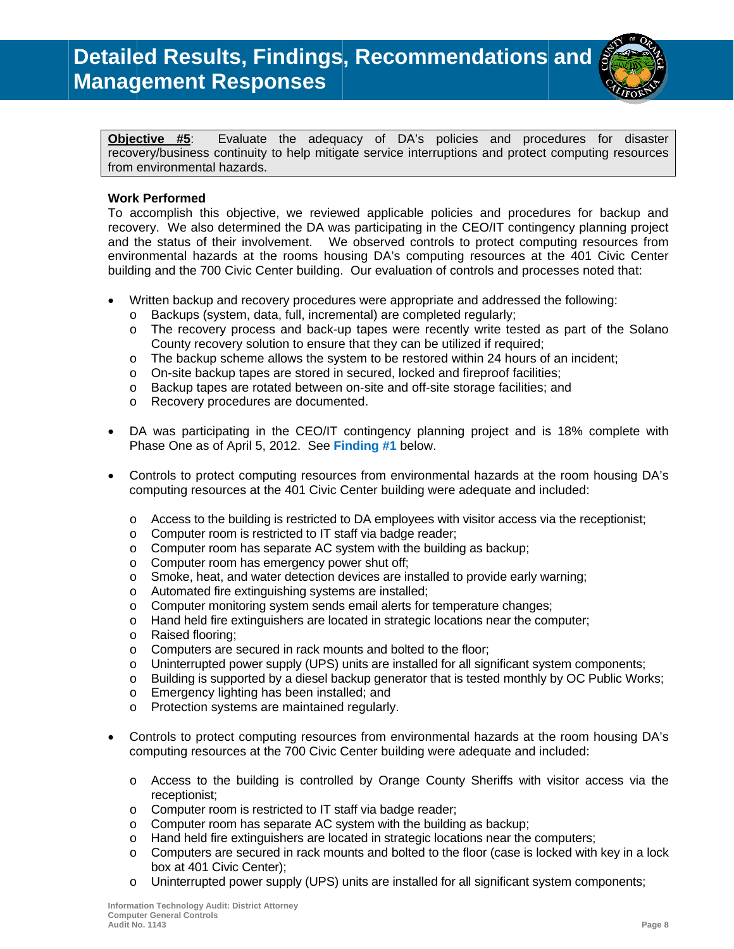

Evaluate the adequacy of DA's policies and procedures for disaster Objective #5: recovery/business continuity to help mitigate service interruptions and protect computing resources from environmental hazards.

#### **Work Performed**

To accomplish this objective, we reviewed applicable policies and procedures for backup and recovery. We also determined the DA was participating in the CEO/IT contingency planning project and the status of their involvement. We observed controls to protect computing resources from environmental hazards at the rooms housing DA's computing resources at the 401 Civic Center building and the 700 Civic Center building. Our evaluation of controls and processes noted that:

- Written backup and recovery procedures were appropriate and addressed the following:
	- o Backups (system, data, full, incremental) are completed regularly;
	- o The recovery process and back-up tapes were recently write tested as part of the Solano County recovery solution to ensure that they can be utilized if required;
	- o The backup scheme allows the system to be restored within 24 hours of an incident;
	- $\circ$  On-site backup tapes are stored in secured, locked and fireproof facilities;
	- o Backup tapes are rotated between on-site and off-site storage facilities; and
	- o Recovery procedures are documented.
- DA was participating in the CEO/IT contingency planning project and is 18% complete with  $\bullet$ Phase One as of April 5, 2012. See Finding #1 below.
- Controls to protect computing resources from environmental hazards at the room housing DA's computing resources at the 401 Civic Center building were adequate and included:
	- o Access to the building is restricted to DA employees with visitor access via the receptionist;
	- o Computer room is restricted to IT staff via badge reader;
	- $\circ$ Computer room has separate AC system with the building as backup;
	- Computer room has emergency power shut off:  $\circ$
	- Smoke, heat, and water detection devices are installed to provide early warning;  $\circ$
	- o Automated fire extinguishing systems are installed;
	- Computer monitoring system sends email alerts for temperature changes;  $\circ$
	- Hand held fire extinguishers are located in strategic locations near the computer;  $\circ$
	- Raised flooring:  $\circ$
	- Computers are secured in rack mounts and bolted to the floor;  $\circ$
	- $\circ$ Uninterrupted power supply (UPS) units are installed for all significant system components;
	- o Building is supported by a diesel backup generator that is tested monthly by OC Public Works;
	- o Emergency lighting has been installed; and
	- Protection systems are maintained regularly.  $\circ$
- Controls to protect computing resources from environmental hazards at the room housing DA's computing resources at the 700 Civic Center building were adequate and included:
	- o Access to the building is controlled by Orange County Sheriffs with visitor access via the receptionist:
	- Computer room is restricted to IT staff via badge reader;  $\circ$
	- o Computer room has separate AC system with the building as backup;
	- $\circ$  Hand held fire extinguishers are located in strategic locations near the computers;
	- $\circ$ Computers are secured in rack mounts and bolted to the floor (case is locked with key in a lock box at 401 Civic Center);
	- Uninterrupted power supply (UPS) units are installed for all significant system components;  $\circ$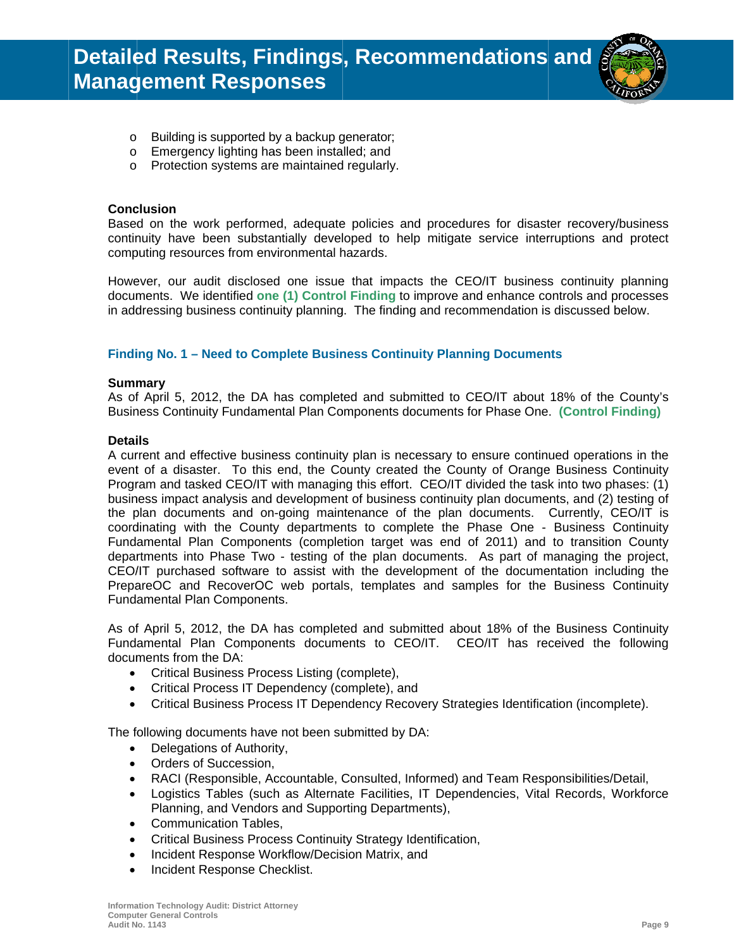

- o Building is supported by a backup generator;
- o Emergency lighting has been installed; and
- o Protection systems are maintained regularly.

#### **Conclusion**

Based on the work performed, adequate policies and procedures for disaster recovery/business continuity have been substantially developed to help mitigate service interruptions and protect computing resources from environmental hazards.

However, our audit disclosed one issue that impacts the CEO/IT business continuity planning documents. We identified one (1) Control Finding to improve and enhance controls and processes in addressing business continuity planning. The finding and recommendation is discussed below.

#### Finding No. 1 - Need to Complete Business Continuity Planning Documents

#### **Summary**

As of April 5, 2012, the DA has completed and submitted to CEO/IT about 18% of the County's Business Continuity Fundamental Plan Components documents for Phase One. (Control Finding)

#### **Details**

A current and effective business continuity plan is necessary to ensure continued operations in the event of a disaster. To this end, the County created the County of Orange Business Continuity Program and tasked CEO/IT with managing this effort. CEO/IT divided the task into two phases: (1) business impact analysis and development of business continuity plan documents, and (2) testing of the plan documents and on-going maintenance of the plan documents. Currently, CEO/IT is coordinating with the County departments to complete the Phase One - Business Continuity Fundamental Plan Components (completion target was end of 2011) and to transition County departments into Phase Two - testing of the plan documents. As part of managing the project, CEO/IT purchased software to assist with the development of the documentation including the PrepareOC and RecoverOC web portals, templates and samples for the Business Continuity Fundamental Plan Components.

As of April 5, 2012, the DA has completed and submitted about 18% of the Business Continuity Fundamental Plan Components documents to CEO/IT. CEO/IT has received the following documents from the DA:

- Critical Business Process Listing (complete),
- Critical Process IT Dependency (complete), and
- Critical Business Process IT Dependency Recovery Strategies Identification (incomplete).

The following documents have not been submitted by DA:

- Delegations of Authority,
- Orders of Succession,
- RACI (Responsible, Accountable, Consulted, Informed) and Team Responsibilities/Detail,
- Logistics Tables (such as Alternate Facilities, IT Dependencies, Vital Records, Workforce Planning, and Vendors and Supporting Departments),
- **Communication Tables,**  $\bullet$
- Critical Business Process Continuity Strategy Identification,  $\bullet$
- Incident Response Workflow/Decision Matrix, and  $\bullet$
- Incident Response Checklist.  $\bullet$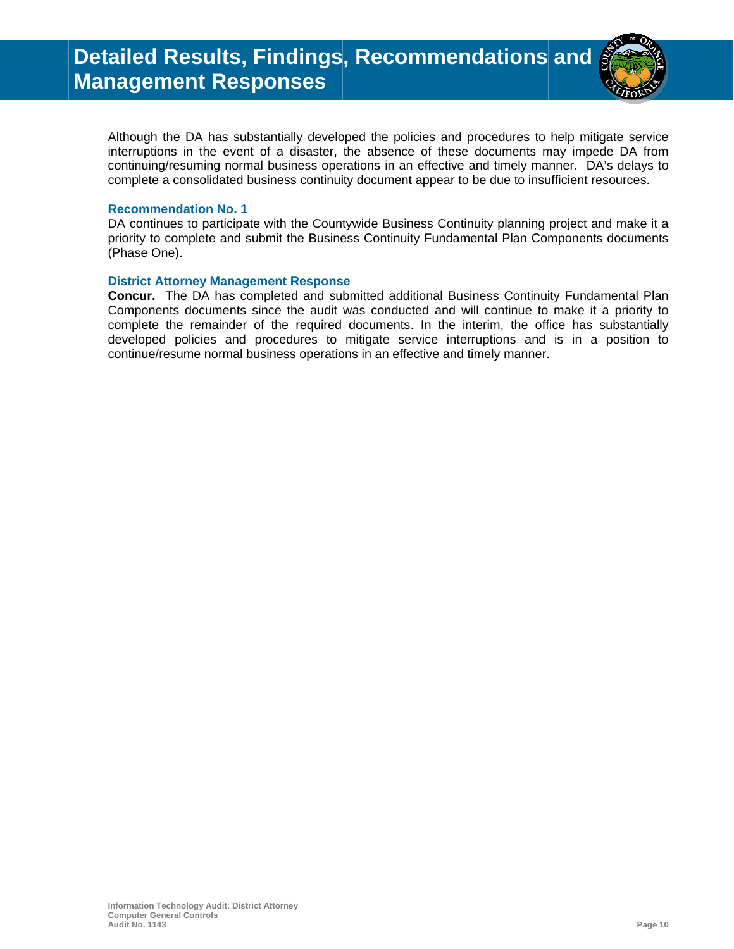

Although the DA has substantially developed the policies and procedures to help mitigate service interruptions in the event of a disaster, the absence of these documents may impede DA from continuing/resuming normal business operations in an effective and timely manner. DA's delays to complete a consolidated business continuity document appear to be due to insufficient resources.

#### **Recommendation No. 1**

DA continues to participate with the Countywide Business Continuity planning project and make it a priority to complete and submit the Business Continuity Fundamental Plan Components documents (Phase One).

#### **District Attorney Management Response**

Concur. The DA has completed and submitted additional Business Continuity Fundamental Plan Components documents since the audit was conducted and will continue to make it a priority to complete the remainder of the required documents. In the interim, the office has substantially developed policies and procedures to mitigate service interruptions and is in a position to continue/resume normal business operations in an effective and timely manner.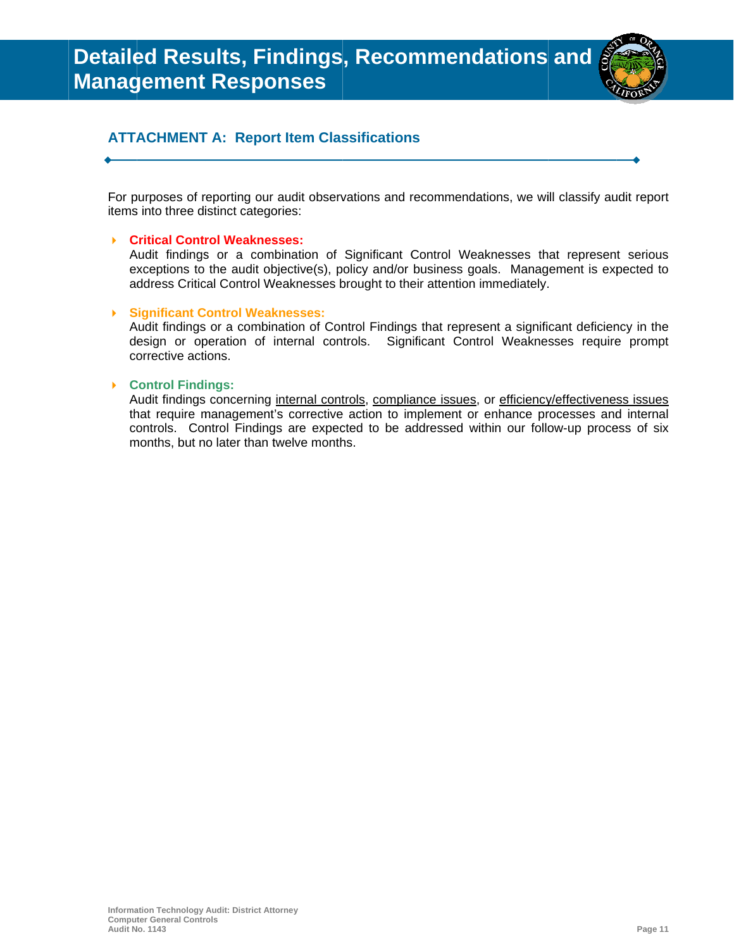

## **ATTACHMENT A: Report Item Classifications**

For purposes of reporting our audit observations and recommendations, we will classify audit report items into three distinct categories:

#### ▶ Critical Control Weaknesses:

Audit findings or a combination of Significant Control Weaknesses that represent serious exceptions to the audit objective(s), policy and/or business goals. Management is expected to address Critical Control Weaknesses brought to their attention immediately.

#### ▶ Significant Control Weaknesses:

Audit findings or a combination of Control Findings that represent a significant deficiency in the design or operation of internal controls. Significant Control Weaknesses require prompt corrective actions.

#### ▶ Control Findings:

Audit findings concerning internal controls, compliance issues, or efficiency/effectiveness issues that require management's corrective action to implement or enhance processes and internal controls. Control Findings are expected to be addressed within our follow-up process of six months, but no later than twelve months.